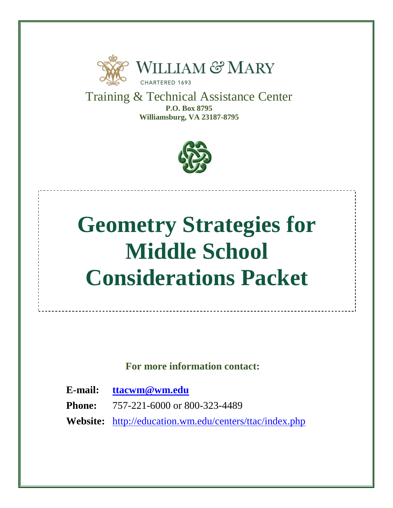

Training & Technical Assistance Center **P.O. Box 8795 Williamsburg, VA 23187-8795**



# **Geometry Strategies for Middle School Considerations Packet**

**For more information contact:**

- **E-mail: [ttacwm@wm.edu](mailto:ttacwm@wm.edu)**
- **Phone:** 757-221-6000 or 800-323-4489

**Website:** <http://education.wm.edu/centers/ttac/index.php>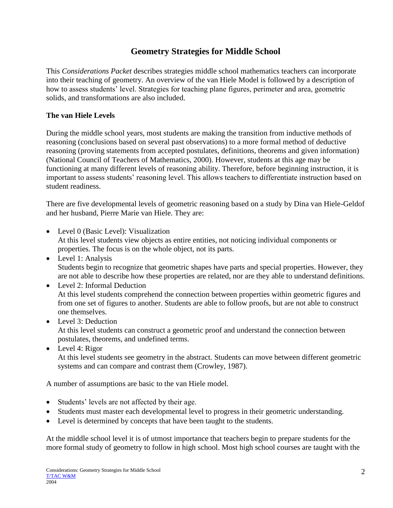# **Geometry Strategies for Middle School**

This *Considerations Packet* describes strategies middle school mathematics teachers can incorporate into their teaching of geometry. An overview of the van Hiele Model is followed by a description of how to assess students' level. Strategies for teaching plane figures, perimeter and area, geometric solids, and transformations are also included.

#### **The van Hiele Levels**

During the middle school years, most students are making the transition from inductive methods of reasoning (conclusions based on several past observations) to a more formal method of deductive reasoning (proving statements from accepted postulates, definitions, theorems and given information) (National Council of Teachers of Mathematics, 2000). However, students at this age may be functioning at many different levels of reasoning ability. Therefore, before beginning instruction, it is important to assess students' reasoning level. This allows teachers to differentiate instruction based on student readiness.

There are five developmental levels of geometric reasoning based on a study by Dina van Hiele-Geldof and her husband, Pierre Marie van Hiele. They are:

- Level 0 (Basic Level): Visualization At this level students view objects as entire entities, not noticing individual components or properties. The focus is on the whole object, not its parts.
- Level 1: Analysis Students begin to recognize that geometric shapes have parts and special properties. However, they are not able to describe how these properties are related, nor are they able to understand definitions.
- Level 2: Informal Deduction At this level students comprehend the connection between properties within geometric figures and from one set of figures to another. Students are able to follow proofs, but are not able to construct one themselves.
- Level 3: Deduction At this level students can construct a geometric proof and understand the connection between postulates, theorems, and undefined terms.
- Level 4: Rigor At this level students see geometry in the abstract. Students can move between different geometric systems and can compare and contrast them (Crowley, 1987).

A number of assumptions are basic to the van Hiele model.

- Students' levels are not affected by their age.
- Students must master each developmental level to progress in their geometric understanding.
- Level is determined by concepts that have been taught to the students.

At the middle school level it is of utmost importance that teachers begin to prepare students for the more formal study of geometry to follow in high school. Most high school courses are taught with the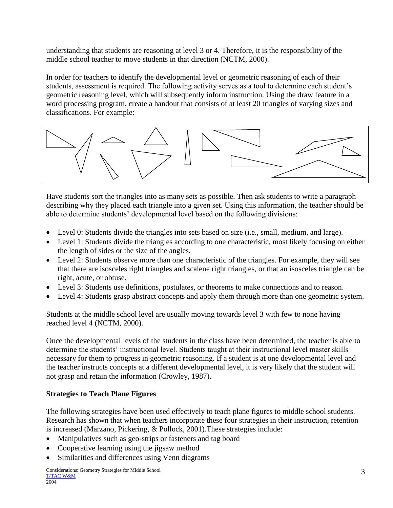understanding that students are reasoning at level 3 or 4. Therefore, it is the responsibility of the middle school teacher to move students in that direction (NCTM, 2000).

In order for teachers to identify the developmental level or geometric reasoning of each of their students, assessment is required. The following activity serves as a tool to determine each student's geometric reasoning level, which will subsequently inform instruction. Using the draw feature in a word processing program, create a handout that consists of at least 20 triangles of varying sizes and classifications. For example:



Have students sort the triangles into as many sets as possible. Then ask students to write a paragraph describing why they placed each triangle into a given set. Using this information, the teacher should be able to determine students' developmental level based on the following divisions:

- Level 0: Students divide the triangles into sets based on size (i.e., small, medium, and large).
- Level 1: Students divide the triangles according to one characteristic, most likely focusing on either the length of sides or the size of the angles.
- Level 2: Students observe more than one characteristic of the triangles. For example, they will see that there are isosceles right triangles and scalene right triangles, or that an isosceles triangle can be right, acute, or obtuse.
- Level 3: Students use definitions, postulates, or theorems to make connections and to reason.
- Level 4: Students grasp abstract concepts and apply them through more than one geometric system.

Students at the middle school level are usually moving towards level 3 with few to none having reached level 4 (NCTM, 2000).

Once the developmental levels of the students in the class have been determined, the teacher is able to determine the students' instructional level. Students taught at their instructional level master skills necessary for them to progress in geometric reasoning. If a student is at one developmental level and the teacher instructs concepts at a different developmental level, it is very likely that the student will not grasp and retain the information (Crowley, 1987).

# **Strategies to Teach Plane Figures**

The following strategies have been used effectively to teach plane figures to middle school students. Research has shown that when teachers incorporate these four strategies in their instruction, retention is increased (Marzano, Pickering, & Pollock, 2001).These strategies include:

- Manipulatives such as geo-strips or fasteners and tag board
- Cooperative learning using the jigsaw method
- Similarities and differences using Venn diagrams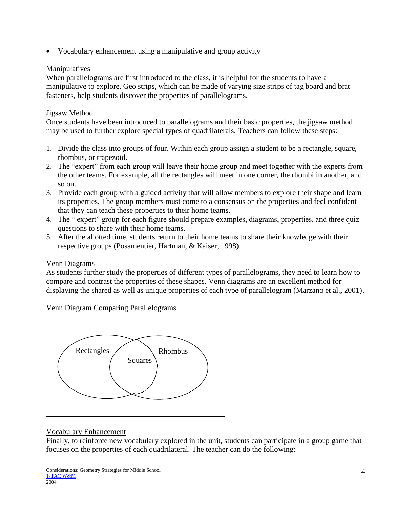Vocabulary enhancement using a manipulative and group activity

#### Manipulatives

When parallelograms are first introduced to the class, it is helpful for the students to have a manipulative to explore. Geo strips, which can be made of varying size strips of tag board and brat fasteners, help students discover the properties of parallelograms.

#### Jigsaw Method

Once students have been introduced to parallelograms and their basic properties, the jigsaw method may be used to further explore special types of quadrilaterals. Teachers can follow these steps:

- 1. Divide the class into groups of four. Within each group assign a student to be a rectangle, square, rhombus, or trapezoid.
- 2. The "expert" from each group will leave their home group and meet together with the experts from the other teams. For example, all the rectangles will meet in one corner, the rhombi in another, and so on.
- 3. Provide each group with a guided activity that will allow members to explore their shape and learn its properties. The group members must come to a consensus on the properties and feel confident that they can teach these properties to their home teams.
- 4. The " expert" group for each figure should prepare examples, diagrams, properties, and three quiz questions to share with their home teams.
- 5. After the allotted time, students return to their home teams to share their knowledge with their respective groups (Posamentier, Hartman, & Kaiser, 1998).

# Venn Diagrams

As students further study the properties of different types of parallelograms, they need to learn how to compare and contrast the properties of these shapes. Venn diagrams are an excellent method for displaying the shared as well as unique properties of each type of parallelogram (Marzano et al., 2001).

Venn Diagram Comparing Parallelograms



# Vocabulary Enhancement

Finally, to reinforce new vocabulary explored in the unit, students can participate in a group game that focuses on the properties of each quadrilateral. The teacher can do the following: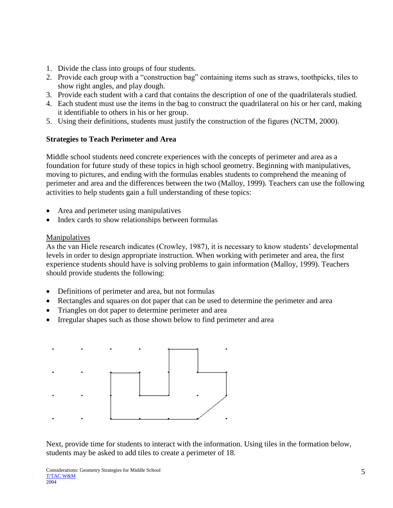- 1. Divide the class into groups of four students.
- 2. Provide each group with a "construction bag" containing items such as straws, toothpicks, tiles to show right angles, and play dough.
- 3. Provide each student with a card that contains the description of one of the quadrilaterals studied.
- 4. Each student must use the items in the bag to construct the quadrilateral on his or her card, making it identifiable to others in his or her group.
- 5. Using their definitions, students must justify the construction of the figures (NCTM, 2000).

#### **Strategies to Teach Perimeter and Area**

Middle school students need concrete experiences with the concepts of perimeter and area as a foundation for future study of these topics in high school geometry. Beginning with manipulatives, moving to pictures, and ending with the formulas enables students to comprehend the meaning of perimeter and area and the differences between the two (Malloy, 1999). Teachers can use the following activities to help students gain a full understanding of these topics:

- Area and perimeter using manipulatives
- Index cards to show relationships between formulas

#### Manipulatives

As the van Hiele research indicates (Crowley, 1987), it is necessary to know students' developmental levels in order to design appropriate instruction. When working with perimeter and area, the first experience students should have is solving problems to gain information (Malloy, 1999). Teachers should provide students the following:

- Definitions of perimeter and area, but not formulas
- Rectangles and squares on dot paper that can be used to determine the perimeter and area
- Triangles on dot paper to determine perimeter and area
- Irregular shapes such as those shown below to find perimeter and area



Next, provide time for students to interact with the information. Using tiles in the formation below, students may be asked to add tiles to create a perimeter of 18.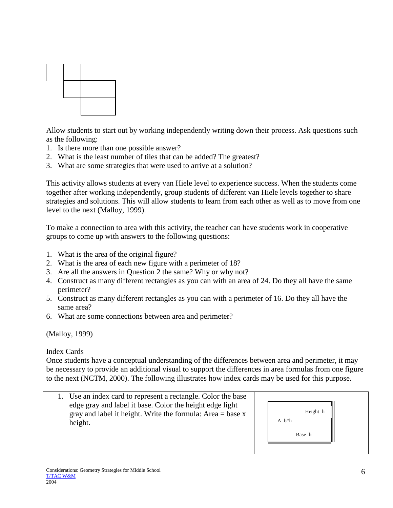

Allow students to start out by working independently writing down their process. Ask questions such as the following:

- 1. Is there more than one possible answer?
- 2. What is the least number of tiles that can be added? The greatest?
- 3. What are some strategies that were used to arrive at a solution?

This activity allows students at every van Hiele level to experience success. When the students come together after working independently, group students of different van Hiele levels together to share strategies and solutions. This will allow students to learn from each other as well as to move from one level to the next (Malloy, 1999).

To make a connection to area with this activity, the teacher can have students work in cooperative groups to come up with answers to the following questions:

- 1. What is the area of the original figure?
- 2. What is the area of each new figure with a perimeter of 18?
- 3. Are all the answers in Question 2 the same? Why or why not?
- 4. Construct as many different rectangles as you can with an area of 24. Do they all have the same perimeter?
- 5. Construct as many different rectangles as you can with a perimeter of 16. Do they all have the same area?
- 6. What are some connections between area and perimeter?

(Malloy, 1999)

#### Index Cards

Once students have a conceptual understanding of the differences between area and perimeter, it may be necessary to provide an additional visual to support the differences in area formulas from one figure to the next (NCTM, 2000). The following illustrates how index cards may be used for this purpose.

| 1. Use an index card to represent a rectangle. Color the base |            |
|---------------------------------------------------------------|------------|
| edge gray and label it base. Color the height edge light      |            |
| gray and label it height. Write the formula: Area = base x    | $Height=h$ |
| height.                                                       | $A=b^*h$   |
|                                                               | Base=b     |
|                                                               |            |
|                                                               |            |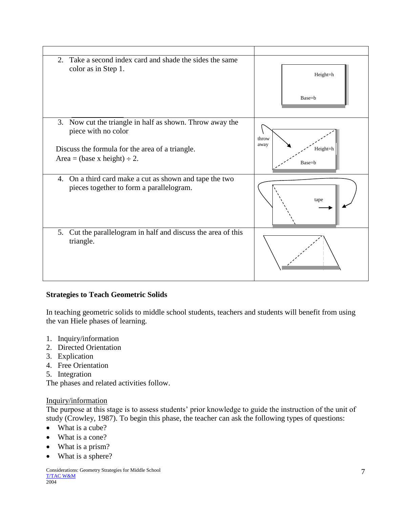| Take a second index card and shade the sides the same<br>2.<br>color as in Step 1.                                                                                        | Height=h<br>Base=b                  |
|---------------------------------------------------------------------------------------------------------------------------------------------------------------------------|-------------------------------------|
| Now cut the triangle in half as shown. Throw away the<br>3.<br>piece with no color<br>Discuss the formula for the area of a triangle.<br>Area = (base x height) $\div$ 2. | throw<br>away<br>Height=h<br>Base=b |
| On a third card make a cut as shown and tape the two<br>4.<br>pieces together to form a parallelogram.                                                                    | tape                                |
| Cut the parallelogram in half and discuss the area of this<br>5.<br>triangle.                                                                                             |                                     |

#### **Strategies to Teach Geometric Solids**

In teaching geometric solids to middle school students, teachers and students will benefit from using the van Hiele phases of learning.

- 1. Inquiry/information
- 2. Directed Orientation
- 3. Explication
- 4. Free Orientation
- 5. Integration

The phases and related activities follow.

#### Inquiry/information

The purpose at this stage is to assess students' prior knowledge to guide the instruction of the unit of study (Crowley, 1987). To begin this phase, the teacher can ask the following types of questions:

- What is a cube?
- What is a cone?
- What is a prism?
- What is a sphere?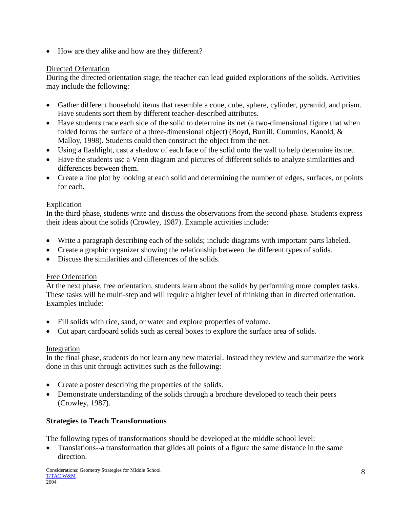• How are they alike and how are they different?

#### Directed Orientation

During the directed orientation stage, the teacher can lead guided explorations of the solids. Activities may include the following:

- Gather different household items that resemble a cone, cube, sphere, cylinder, pyramid, and prism. Have students sort them by different teacher-described attributes.
- Have students trace each side of the solid to determine its net (a two-dimensional figure that when folded forms the surface of a three-dimensional object) (Boyd, Burrill, Cummins, Kanold, & Malloy, 1998). Students could then construct the object from the net.
- Using a flashlight, cast a shadow of each face of the solid onto the wall to help determine its net.
- Have the students use a Venn diagram and pictures of different solids to analyze similarities and differences between them.
- Create a line plot by looking at each solid and determining the number of edges, surfaces, or points for each.

#### Explication

In the third phase, students write and discuss the observations from the second phase. Students express their ideas about the solids (Crowley, 1987). Example activities include:

- Write a paragraph describing each of the solids; include diagrams with important parts labeled.
- Create a graphic organizer showing the relationship between the different types of solids.
- Discuss the similarities and differences of the solids.

#### Free Orientation

At the next phase, free orientation, students learn about the solids by performing more complex tasks. These tasks will be multi-step and will require a higher level of thinking than in directed orientation. Examples include:

- Fill solids with rice, sand, or water and explore properties of volume.
- Cut apart cardboard solids such as cereal boxes to explore the surface area of solids.

#### Integration

In the final phase, students do not learn any new material. Instead they review and summarize the work done in this unit through activities such as the following:

- Create a poster describing the properties of the solids.
- Demonstrate understanding of the solids through a brochure developed to teach their peers (Crowley, 1987).

# **Strategies to Teach Transformations**

The following types of transformations should be developed at the middle school level:

 Translations--a transformation that glides all points of a figure the same distance in the same direction.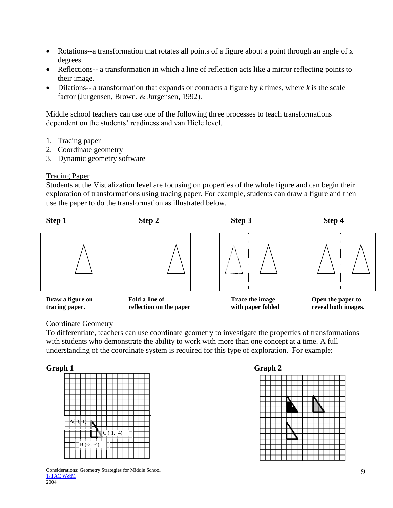- Rotations--a transformation that rotates all points of a figure about a point through an angle of x degrees.
- Reflections-- a transformation in which a line of reflection acts like a mirror reflecting points to their image.
- Dilations-- a transformation that expands or contracts a figure by *k* times, where *k* is the scale factor (Jurgensen, Brown, & Jurgensen, 1992).

Middle school teachers can use one of the following three processes to teach transformations dependent on the students' readiness and van Hiele level.

- 1. Tracing paper
- 2. Coordinate geometry
- 3. Dynamic geometry software

#### Tracing Paper

Students at the Visualization level are focusing on properties of the whole figure and can begin their exploration of transformations using tracing paper. For example, students can draw a figure and then use the paper to do the transformation as illustrated below.



#### Coordinate Geometry

To differentiate, teachers can use coordinate geometry to investigate the properties of transformations with students who demonstrate the ability to work with more than one concept at a time. A full understanding of the coordinate system is required for this type of exploration. For example:



Considerations: Geometry Strategies for Middle School [T/TAC W&M](http://education.wm.edu/centers/ttac/resources/considerations/index.php) 2004



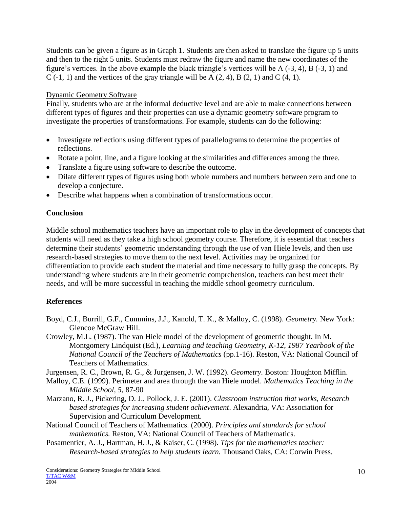Students can be given a figure as in Graph 1. Students are then asked to translate the figure up 5 units and then to the right 5 units. Students must redraw the figure and name the new coordinates of the figure's vertices. In the above example the black triangle's vertices will be A (-3, 4), B (-3, 1) and C  $(-1, 1)$  and the vertices of the gray triangle will be A  $(2, 4)$ , B  $(2, 1)$  and C  $(4, 1)$ .

#### Dynamic Geometry Software

Finally, students who are at the informal deductive level and are able to make connections between different types of figures and their properties can use a dynamic geometry software program to investigate the properties of transformations. For example, students can do the following:

- Investigate reflections using different types of parallelograms to determine the properties of reflections.
- Rotate a point, line, and a figure looking at the similarities and differences among the three.
- Translate a figure using software to describe the outcome.
- Dilate different types of figures using both whole numbers and numbers between zero and one to develop a conjecture.
- Describe what happens when a combination of transformations occur.

#### **Conclusion**

Middle school mathematics teachers have an important role to play in the development of concepts that students will need as they take a high school geometry course. Therefore, it is essential that teachers determine their students' geometric understanding through the use of van Hiele levels, and then use research-based strategies to move them to the next level. Activities may be organized for differentiation to provide each student the material and time necessary to fully grasp the concepts. By understanding where students are in their geometric comprehension, teachers can best meet their needs, and will be more successful in teaching the middle school geometry curriculum.

# **References**

- Boyd, C.J., Burrill, G.F., Cummins, J.J., Kanold, T. K., & Malloy, C. (1998). *Geometry.* New York: Glencoe McGraw Hill.
- Crowley, M.L. (1987). The van Hiele model of the development of geometric thought. In M. Montgomery Lindquist (Ed.), *Learning and teaching Geometry, K-12*, *1987 Yearbook of the National Council of the Teachers of Mathematics* (pp.1-16). Reston, VA: National Council of Teachers of Mathematics.

Jurgensen, R. C., Brown, R. G., & Jurgensen, J. W. (1992). *Geometry.* Boston: Houghton Mifflin.

Malloy, C.E. (1999). Perimeter and area through the van Hiele model. *Mathematics Teaching in the Middle School, 5,* 87-90

- Marzano, R. J., Pickering, D. J., Pollock, J. E. (2001). *Classroom instruction that works, Research– based strategies for increasing student achievement*. Alexandria, VA: Association for Supervision and Curriculum Development.
- National Council of Teachers of Mathematics. (2000). *Principles and standards for school mathematics.* Reston, VA: National Council of Teachers of Mathematics.
- Posamentier, A. J., Hartman, H. J., & Kaiser, C. (1998). *Tips for the mathematics teacher: Research-based strategies to help students learn.* Thousand Oaks, CA: Corwin Press.